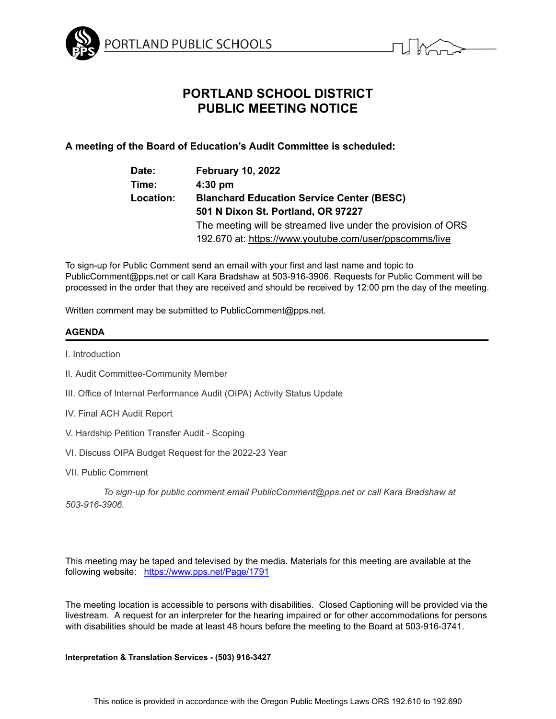



# **PORTLAND SCHOOL DISTRICT PUBLIC MEETING NOTICE**

## **A meeting of the Board of Education's Audit Committee is scheduled:**

| Date:     | <b>February 10, 2022</b>                                     |
|-----------|--------------------------------------------------------------|
| Time:     | $4:30$ pm                                                    |
| Location: | <b>Blanchard Education Service Center (BESC)</b>             |
|           | 501 N Dixon St. Portland, OR 97227                           |
|           | The meeting will be streamed live under the provision of ORS |
|           | 192.670 at: https://www.youtube.com/user/ppscomms/live       |

To sign-up for Public Comment send an email with your first and last name and topic to PublicComment@pps.net or call Kara Bradshaw at 503-916-3906. Requests for Public Comment will be processed in the order that they are received and should be received by 12:00 pm the day of the meeting.

Written comment may be submitted to PublicComment@pps.net.

### **AGENDA**

I. Introduction

- II. Audit Committee-Community Member
- III. Office of Internal Performance Audit (OIPA) Activity Status Update
- IV. Final ACH Audit Report
- V. Hardship Petition Transfer Audit Scoping
- VI. Discuss OIPA Budget Request for the 2022-23 Year
- VII. Public Comment

*To sign-up for public comment email PublicComment@pps.net or call Kara Bradshaw at 503-916-3906.*

This meeting may be taped and televised by the media. Materials for this meeting are available at the following website: <https://www.pps.net/Page/1791>

The meeting location is accessible to persons with disabilities. Closed Captioning will be provided via the livestream. A request for an interpreter for the hearing impaired or for other accommodations for persons with disabilities should be made at least 48 hours before the meeting to the Board at 503-916-3741.

#### **Interpretation & Translation Services - (503) 916-3427**